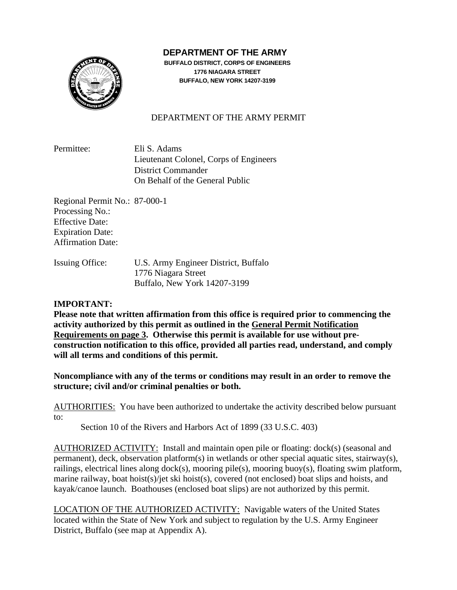## **DEPARTMENT OF THE ARMY**



**BUFFALO DISTRICT, CORPS OF ENGINEERS 1776 NIAGARA STREET BUFFALO, NEW YORK 14207-3199**

## DEPARTMENT OF THE ARMY PERMIT

Permittee: Eli S. Adams Lieutenant Colonel, Corps of Engineers District Commander On Behalf of the General Public

Regional Permit No.: 87-000-1 Processing No.: Effective Date: Expiration Date: Affirmation Date:

| <b>Issuing Office:</b> | U.S. Army Engineer District, Buffalo |
|------------------------|--------------------------------------|
|                        | 1776 Niagara Street                  |
|                        | Buffalo, New York 14207-3199         |

## **IMPORTANT:**

**Please note that written affirmation from this office is required prior to commencing the activity authorized by this permit as outlined in the General Permit Notification Requirements on page 3. Otherwise this permit is available for use without preconstruction notification to this office, provided all parties read, understand, and comply will all terms and conditions of this permit.** 

**Noncompliance with any of the terms or conditions may result in an order to remove the structure; civil and/or criminal penalties or both.**

AUTHORITIES: You have been authorized to undertake the activity described below pursuant to:

Section 10 of the Rivers and Harbors Act of 1899 (33 U.S.C. 403)

AUTHORIZED ACTIVITY: Install and maintain open pile or floating: dock(s) (seasonal and permanent), deck, observation platform(s) in wetlands or other special aquatic sites, stairway(s), railings, electrical lines along dock(s), mooring pile(s), mooring buoy(s), floating swim platform, marine railway, boat hoist(s)/jet ski hoist(s), covered (not enclosed) boat slips and hoists, and kayak/canoe launch. Boathouses (enclosed boat slips) are not authorized by this permit.

LOCATION OF THE AUTHORIZED ACTIVITY: Navigable waters of the United States located within the State of New York and subject to regulation by the U.S. Army Engineer District, Buffalo (see map at Appendix A).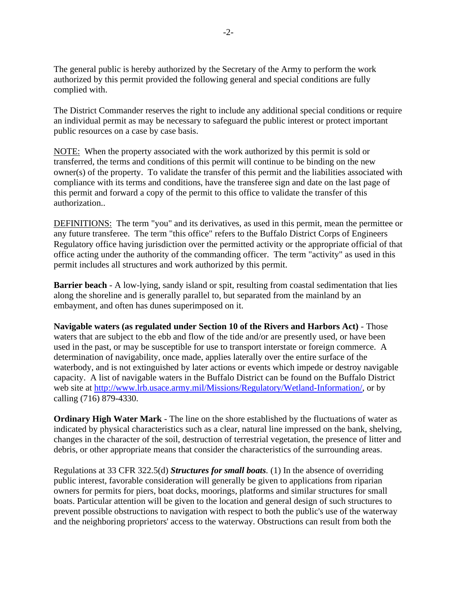The general public is hereby authorized by the Secretary of the Army to perform the work authorized by this permit provided the following general and special conditions are fully complied with.

The District Commander reserves the right to include any additional special conditions or require an individual permit as may be necessary to safeguard the public interest or protect important public resources on a case by case basis.

NOTE: When the property associated with the work authorized by this permit is sold or transferred, the terms and conditions of this permit will continue to be binding on the new owner(s) of the property. To validate the transfer of this permit and the liabilities associated with compliance with its terms and conditions, have the transferee sign and date on the last page of this permit and forward a copy of the permit to this office to validate the transfer of this authorization..

DEFINITIONS: The term "you" and its derivatives, as used in this permit, mean the permittee or any future transferee. The term "this office" refers to the Buffalo District Corps of Engineers Regulatory office having jurisdiction over the permitted activity or the appropriate official of that office acting under the authority of the commanding officer. The term "activity" as used in this permit includes all structures and work authorized by this permit.

**Barrier beach** - A low-lying, sandy island or spit, resulting from coastal sedimentation that lies along the shoreline and is generally parallel to, but separated from the mainland by an embayment, and often has dunes superimposed on it.

**Navigable waters (as regulated under Section 10 of the Rivers and Harbors Act)** - Those waters that are subject to the ebb and flow of the tide and/or are presently used, or have been used in the past, or may be susceptible for use to transport interstate or foreign commerce. A determination of navigability, once made, applies laterally over the entire surface of the waterbody, and is not extinguished by later actions or events which impede or destroy navigable capacity. A list of navigable waters in the Buffalo District can be found on the Buffalo District web site at [http://www.lrb.usace.army.mil/Missions/Regulatory/Wetland-Information/,](http://www.lrb.usace.army.mil/Missions/Regulatory/Wetland-Information/) or by calling (716) 879-4330.

**Ordinary High Water Mark** - The line on the shore established by the fluctuations of water as indicated by physical characteristics such as a clear, natural line impressed on the bank, shelving, changes in the character of the soil, destruction of terrestrial vegetation, the presence of litter and debris, or other appropriate means that consider the characteristics of the surrounding areas.

Regulations at 33 CFR 322.5(d) *Structures for small boats.* (1) In the absence of overriding public interest, favorable consideration will generally be given to applications from riparian owners for permits for piers, boat docks, moorings, platforms and similar structures for small boats. Particular attention will be given to the location and general design of such structures to prevent possible obstructions to navigation with respect to both the public's use of the waterway and the neighboring proprietors' access to the waterway. Obstructions can result from both the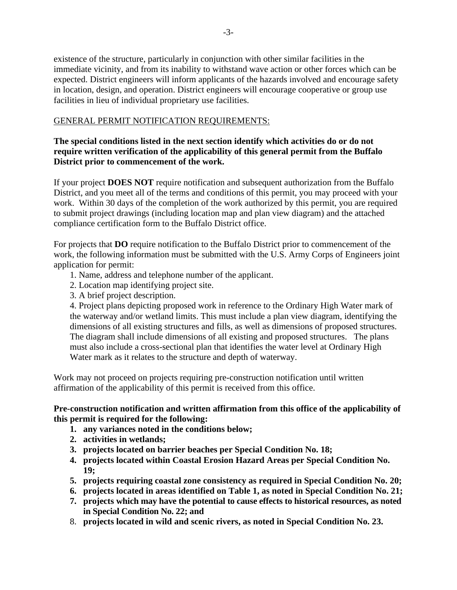existence of the structure, particularly in conjunction with other similar facilities in the immediate vicinity, and from its inability to withstand wave action or other forces which can be expected. District engineers will inform applicants of the hazards involved and encourage safety in location, design, and operation. District engineers will encourage cooperative or group use facilities in lieu of individual proprietary use facilities.

## GENERAL PERMIT NOTIFICATION REQUIREMENTS:

## **The special conditions listed in the next section identify which activities do or do not require written verification of the applicability of this general permit from the Buffalo District prior to commencement of the work.**

If your project **DOES NOT** require notification and subsequent authorization from the Buffalo District, and you meet all of the terms and conditions of this permit, you may proceed with your work. Within 30 days of the completion of the work authorized by this permit, you are required to submit project drawings (including location map and plan view diagram) and the attached compliance certification form to the Buffalo District office.

For projects that **DO** require notification to the Buffalo District prior to commencement of the work, the following information must be submitted with the U.S. Army Corps of Engineers joint application for permit:

- 1. Name, address and telephone number of the applicant.
- 2. Location map identifying project site.
- 3. A brief project description.

4. Project plans depicting proposed work in reference to the Ordinary High Water mark of the waterway and/or wetland limits. This must include a plan view diagram, identifying the dimensions of all existing structures and fills, as well as dimensions of proposed structures. The diagram shall include dimensions of all existing and proposed structures. The plans must also include a cross-sectional plan that identifies the water level at Ordinary High Water mark as it relates to the structure and depth of waterway.

Work may not proceed on projects requiring pre-construction notification until written affirmation of the applicability of this permit is received from this office.

## **Pre-construction notification and written affirmation from this office of the applicability of this permit is required for the following:**

- **1. any variances noted in the conditions below;**
- **2. activities in wetlands;**
- **3. projects located on barrier beaches per Special Condition No. 18;**
- **4. projects located within Coastal Erosion Hazard Areas per Special Condition No. 19;**
- **5. projects requiring coastal zone consistency as required in Special Condition No. 20;**
- **6. projects located in areas identified on Table 1, as noted in Special Condition No. 21;**
- **7. projects which may have the potential to cause effects to historical resources, as noted in Special Condition No. 22; and**
- 8. **projects located in wild and scenic rivers, as noted in Special Condition No. 23.**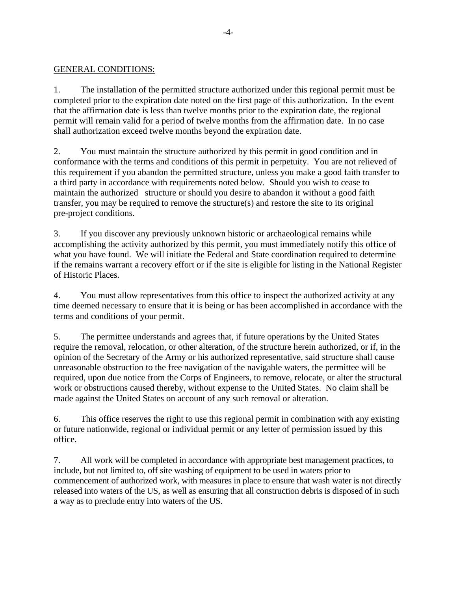#### GENERAL CONDITIONS:

1. The installation of the permitted structure authorized under this regional permit must be completed prior to the expiration date noted on the first page of this authorization. In the event that the affirmation date is less than twelve months prior to the expiration date, the regional permit will remain valid for a period of twelve months from the affirmation date. In no case shall authorization exceed twelve months beyond the expiration date.

2. You must maintain the structure authorized by this permit in good condition and in conformance with the terms and conditions of this permit in perpetuity. You are not relieved of this requirement if you abandon the permitted structure, unless you make a good faith transfer to a third party in accordance with requirements noted below. Should you wish to cease to maintain the authorized structure or should you desire to abandon it without a good faith transfer, you may be required to remove the structure(s) and restore the site to its original pre-project conditions.

3. If you discover any previously unknown historic or archaeological remains while accomplishing the activity authorized by this permit, you must immediately notify this office of what you have found. We will initiate the Federal and State coordination required to determine if the remains warrant a recovery effort or if the site is eligible for listing in the National Register of Historic Places.

4. You must allow representatives from this office to inspect the authorized activity at any time deemed necessary to ensure that it is being or has been accomplished in accordance with the terms and conditions of your permit.

5. The permittee understands and agrees that, if future operations by the United States require the removal, relocation, or other alteration, of the structure herein authorized, or if, in the opinion of the Secretary of the Army or his authorized representative, said structure shall cause unreasonable obstruction to the free navigation of the navigable waters, the permittee will be required, upon due notice from the Corps of Engineers, to remove, relocate, or alter the structural work or obstructions caused thereby, without expense to the United States. No claim shall be made against the United States on account of any such removal or alteration.

6. This office reserves the right to use this regional permit in combination with any existing or future nationwide, regional or individual permit or any letter of permission issued by this office.

7. All work will be completed in accordance with appropriate best management practices, to include, but not limited to, off site washing of equipment to be used in waters prior to commencement of authorized work, with measures in place to ensure that wash water is not directly released into waters of the US, as well as ensuring that all construction debris is disposed of in such a way as to preclude entry into waters of the US.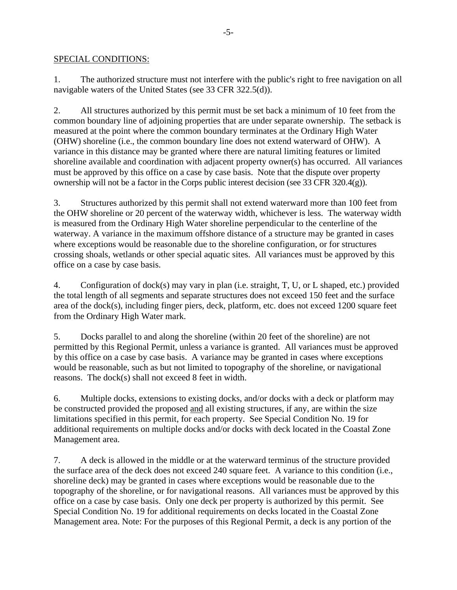#### SPECIAL CONDITIONS:

1. The authorized structure must not interfere with the public's right to free navigation on all navigable waters of the United States (see 33 CFR 322.5(d)).

2. All structures authorized by this permit must be set back a minimum of 10 feet from the common boundary line of adjoining properties that are under separate ownership. The setback is measured at the point where the common boundary terminates at the Ordinary High Water (OHW) shoreline (i.e., the common boundary line does not extend waterward of OHW). A variance in this distance may be granted where there are natural limiting features or limited shoreline available and coordination with adjacent property owner(s) has occurred. All variances must be approved by this office on a case by case basis. Note that the dispute over property ownership will not be a factor in the Corps public interest decision (see 33 CFR 320.4(g)).

3. Structures authorized by this permit shall not extend waterward more than 100 feet from the OHW shoreline or 20 percent of the waterway width, whichever is less. The waterway width is measured from the Ordinary High Water shoreline perpendicular to the centerline of the waterway. A variance in the maximum offshore distance of a structure may be granted in cases where exceptions would be reasonable due to the shoreline configuration, or for structures crossing shoals, wetlands or other special aquatic sites. All variances must be approved by this office on a case by case basis.

4. Configuration of dock(s) may vary in plan (i.e. straight, T, U, or L shaped, etc.) provided the total length of all segments and separate structures does not exceed 150 feet and the surface area of the dock(s), including finger piers, deck, platform, etc. does not exceed 1200 square feet from the Ordinary High Water mark.

5. Docks parallel to and along the shoreline (within 20 feet of the shoreline) are not permitted by this Regional Permit, unless a variance is granted. All variances must be approved by this office on a case by case basis. A variance may be granted in cases where exceptions would be reasonable, such as but not limited to topography of the shoreline, or navigational reasons. The dock(s) shall not exceed 8 feet in width.

6. Multiple docks, extensions to existing docks, and/or docks with a deck or platform may be constructed provided the proposed and all existing structures, if any, are within the size limitations specified in this permit, for each property. See Special Condition No. 19 for additional requirements on multiple docks and/or docks with deck located in the Coastal Zone Management area.

7. A deck is allowed in the middle or at the waterward terminus of the structure provided the surface area of the deck does not exceed 240 square feet. A variance to this condition (i.e., shoreline deck) may be granted in cases where exceptions would be reasonable due to the topography of the shoreline, or for navigational reasons. All variances must be approved by this office on a case by case basis. Only one deck per property is authorized by this permit. See Special Condition No. 19 for additional requirements on decks located in the Coastal Zone Management area. Note: For the purposes of this Regional Permit, a deck is any portion of the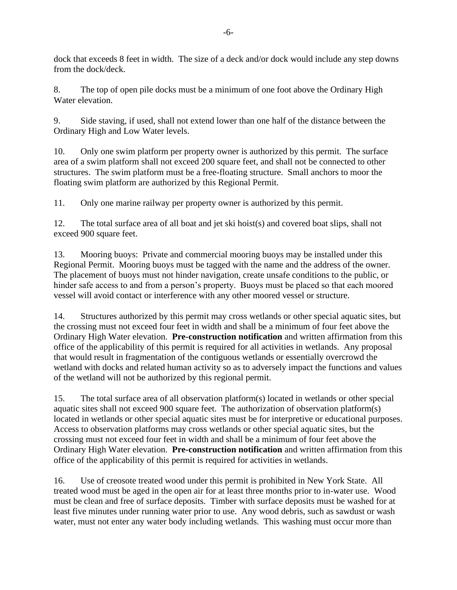dock that exceeds 8 feet in width. The size of a deck and/or dock would include any step downs from the dock/deck.

8. The top of open pile docks must be a minimum of one foot above the Ordinary High Water elevation.

9. Side staving, if used, shall not extend lower than one half of the distance between the Ordinary High and Low Water levels.

10. Only one swim platform per property owner is authorized by this permit. The surface area of a swim platform shall not exceed 200 square feet, and shall not be connected to other structures. The swim platform must be a free-floating structure. Small anchors to moor the floating swim platform are authorized by this Regional Permit.

11. Only one marine railway per property owner is authorized by this permit.

12. The total surface area of all boat and jet ski hoist(s) and covered boat slips, shall not exceed 900 square feet.

13. Mooring buoys: Private and commercial mooring buoys may be installed under this Regional Permit. Mooring buoys must be tagged with the name and the address of the owner. The placement of buoys must not hinder navigation, create unsafe conditions to the public, or hinder safe access to and from a person's property. Buoys must be placed so that each moored vessel will avoid contact or interference with any other moored vessel or structure.

14. Structures authorized by this permit may cross wetlands or other special aquatic sites, but the crossing must not exceed four feet in width and shall be a minimum of four feet above the Ordinary High Water elevation. **Pre-construction notification** and written affirmation from this office of the applicability of this permit is required for all activities in wetlands. Any proposal that would result in fragmentation of the contiguous wetlands or essentially overcrowd the wetland with docks and related human activity so as to adversely impact the functions and values of the wetland will not be authorized by this regional permit.

15. The total surface area of all observation platform(s) located in wetlands or other special aquatic sites shall not exceed 900 square feet. The authorization of observation platform(s) located in wetlands or other special aquatic sites must be for interpretive or educational purposes. Access to observation platforms may cross wetlands or other special aquatic sites, but the crossing must not exceed four feet in width and shall be a minimum of four feet above the Ordinary High Water elevation. **Pre-construction notification** and written affirmation from this office of the applicability of this permit is required for activities in wetlands.

16. [Use](file://///155.79.77.220/ds1/Departments/Reg/Correspondence/New%20York/Documents%20and%20Settings/h5tdrjml/Local%20Settings/Temporary%20Internet%20Files/Content.Outlook/UQI7UNXO/Use) of creosote treated wood under this permit is prohibited in New York State. All treated wood must be aged in the open air for at least three months prior to in-water use. Wood must be clean and free of surface deposits. Timber with surface deposits must be washed for at least five minutes under running water prior to use. Any wood debris, such as sawdust or wash water, must not enter any water body including wetlands. This washing must occur more than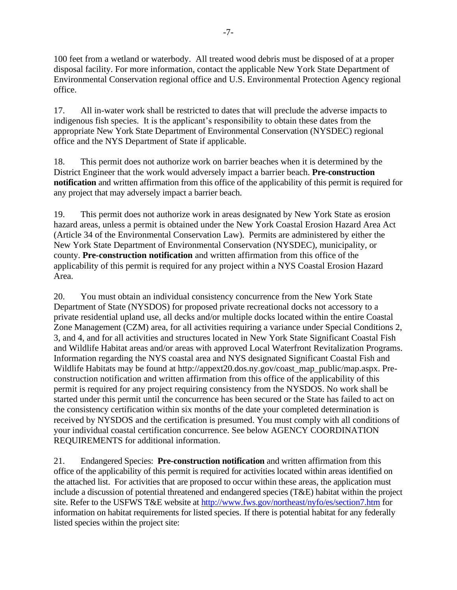100 feet from a wetland or waterbody. All treated wood debris must be disposed of at a proper disposal facility. For more information, contact the applicable New York State Department of Environmental Conservation regional office and U.S. Environmental Protection Agency regional office.

17. All in-water work shall be restricted to dates that will preclude the adverse impacts to indigenous fish species. It is the applicant's responsibility to obtain these dates from the appropriate New York State Department of Environmental Conservation (NYSDEC) regional office and the NYS Department of State if applicable.

18. This permit does not authorize work on barrier beaches when it is determined by the District Engineer that the work would adversely impact a barrier beach. **Pre-construction notification** and written affirmation from this office of the applicability of this permit is required for any project that may adversely impact a barrier beach.

19. This permit does not authorize work in areas designated by New York State as erosion hazard areas, unless a permit is obtained under the New York Coastal Erosion Hazard Area Act (Article 34 of the Environmental Conservation Law). Permits are administered by either the New York State Department of Environmental Conservation (NYSDEC), municipality, or county. **Pre-construction notification** and written affirmation from this office of the applicability of this permit is required for any project within a NYS Coastal Erosion Hazard Area.

20. You must obtain an individual consistency concurrence from the New York State Department of State (NYSDOS) for proposed private recreational docks not accessory to a private residential upland use, all decks and/or multiple docks located within the entire Coastal Zone Management (CZM) area, for all activities requiring a variance under Special Conditions 2, 3, and 4, and for all activities and structures located in New York State Significant Coastal Fish and Wildlife Habitat areas and/or areas with approved Local Waterfront Revitalization Programs. Information regarding the NYS coastal area and NYS designated Significant Coastal Fish and Wildlife Habitats may be found at http://appext20.dos.ny.gov/coast\_map\_public/map.aspx. Preconstruction notification and written affirmation from this office of the applicability of this permit is required for any project requiring consistency from the NYSDOS. No work shall be started under this permit until the concurrence has been secured or the State has failed to act on the consistency certification within six months of the date your completed determination is received by NYSDOS and the certification is presumed. You must comply with all conditions of your individual coastal certification concurrence. See below AGENCY COORDINATION REQUIREMENTS for additional information.

21. Endangered Species: **Pre-construction notification** and written affirmation from this office of the applicability of this permit is required for activities located within areas identified on the attached list. For activities that are proposed to occur within these areas, the application must include a discussion of potential threatened and endangered species (T&E) habitat within the project site. Refer to the USFWS T&E website a[t http://www.fws.gov/northeast/nyfo/es/section7.htm](http://www.fws.gov/northeast/nyfo/es/section7.htm) for information on habitat requirements for listed species. If there is potential habitat for any federally listed species within the project site: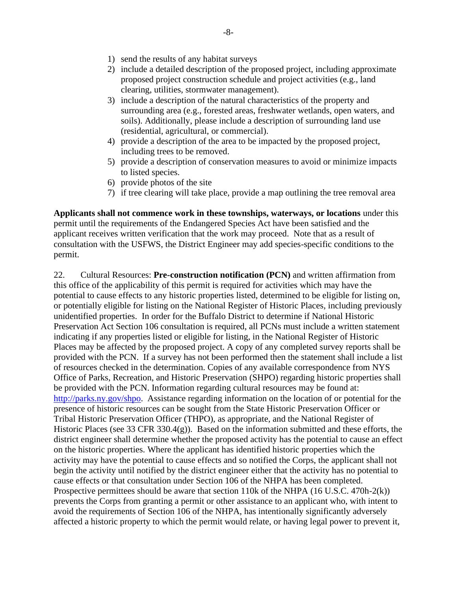- 1) send the results of any habitat surveys
- 2) include a detailed description of the proposed project, including approximate proposed project construction schedule and project activities (e.g., land clearing, utilities, stormwater management).
- 3) include a description of the natural characteristics of the property and surrounding area (e.g., forested areas, freshwater wetlands, open waters, and soils). Additionally, please include a description of surrounding land use (residential, agricultural, or commercial).
- 4) provide a description of the area to be impacted by the proposed project, including trees to be removed.
- 5) provide a description of conservation measures to avoid or minimize impacts to listed species.
- 6) provide photos of the site
- 7) if tree clearing will take place, provide a map outlining the tree removal area

**Applicants shall not commence work in these townships, waterways, or locations** under this permit until the requirements of the Endangered Species Act have been satisfied and the applicant receives written verification that the work may proceed. Note that as a result of consultation with the USFWS, the District Engineer may add species-specific conditions to the permit.

22. Cultural Resources: **Pre-construction notification (PCN)** and written affirmation from this office of the applicability of this permit is required for activities which may have the potential to cause effects to any historic properties listed, determined to be eligible for listing on, or potentially eligible for listing on the National Register of Historic Places, including previously unidentified properties. In order for the Buffalo District to determine if National Historic Preservation Act Section 106 consultation is required, all PCNs must include a written statement indicating if any properties listed or eligible for listing, in the National Register of Historic Places may be affected by the proposed project. A copy of any completed survey reports shall be provided with the PCN. If a survey has not been performed then the statement shall include a list of resources checked in the determination. Copies of any available correspondence from NYS Office of Parks, Recreation, and Historic Preservation (SHPO) regarding historic properties shall be provided with the PCN. Information regarding cultural resources may be found at: [http://parks.ny.gov/shpo.](http://parks.ny.gov/shpo/) Assistance regarding information on the location of or potential for the presence of historic resources can be sought from the State Historic Preservation Officer or Tribal Historic Preservation Officer (THPO), as appropriate, and the National Register of Historic Places (see 33 CFR 330.4(g)). Based on the information submitted and these efforts, the district engineer shall determine whether the proposed activity has the potential to cause an effect on the historic properties. Where the applicant has identified historic properties which the activity may have the potential to cause effects and so notified the Corps, the applicant shall not begin the activity until notified by the district engineer either that the activity has no potential to cause effects or that consultation under Section 106 of the NHPA has been completed. Prospective permittees should be aware that section 110k of the NHPA (16 U.S.C. 470h-2(k)) prevents the Corps from granting a permit or other assistance to an applicant who, with intent to avoid the requirements of Section 106 of the NHPA, has intentionally significantly adversely affected a historic property to which the permit would relate, or having legal power to prevent it,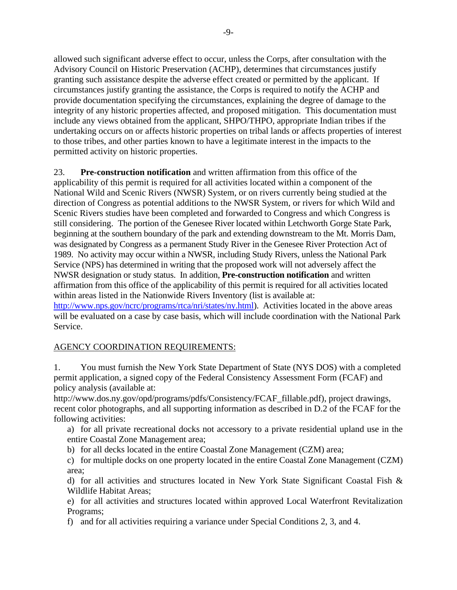allowed such significant adverse effect to occur, unless the Corps, after consultation with the Advisory Council on Historic Preservation (ACHP), determines that circumstances justify granting such assistance despite the adverse effect created or permitted by the applicant. If circumstances justify granting the assistance, the Corps is required to notify the ACHP and provide documentation specifying the circumstances, explaining the degree of damage to the integrity of any historic properties affected, and proposed mitigation. This documentation must include any views obtained from the applicant, SHPO/THPO, appropriate Indian tribes if the undertaking occurs on or affects historic properties on tribal lands or affects properties of interest to those tribes, and other parties known to have a legitimate interest in the impacts to the permitted activity on historic properties.

23. **Pre-construction notification** and written affirmation from this office of the applicability of this permit is required for all activities located within a component of the National Wild and Scenic Rivers (NWSR) System, or on rivers currently being studied at the direction of Congress as potential additions to the NWSR System, or rivers for which Wild and Scenic Rivers studies have been completed and forwarded to Congress and which Congress is still considering. The portion of the Genesee River located within Letchworth Gorge State Park, beginning at the southern boundary of the park and extending downstream to the Mt. Morris Dam, was designated by Congress as a permanent Study River in the Genesee River Protection Act of 1989. No activity may occur within a NWSR, including Study Rivers, unless the National Park Service (NPS) has determined in writing that the proposed work will not adversely affect the NWSR designation or study status. In addition, **Pre-construction notification** and written affirmation from this office of the applicability of this permit is required for all activities located within areas listed in the Nationwide Rivers Inventory (list is available at: [http://www.nps.gov/ncrc/programs/rtca/nri/states/ny.html\)](http://www.nps.gov/ncrc/programs/rtca/nri/states/ny.html). Activities located in the above areas will be evaluated on a case by case basis, which will include coordination with the National Park Service.

## AGENCY COORDINATION REQUIREMENTS:

1. You must furnish the New York State Department of State (NYS DOS) with a completed permit application, a signed copy of the Federal Consistency Assessment Form (FCAF) and policy analysis (available at:

http://www.dos.ny.gov/opd/programs/pdfs/Consistency/FCAF\_fillable.pdf), project drawings, recent color photographs, and all supporting information as described in D.2 of the FCAF for the following activities:

a) for all private recreational docks not accessory to a private residential upland use in the entire Coastal Zone Management area;

b) for all decks located in the entire Coastal Zone Management (CZM) area;

c) for multiple docks on one property located in the entire Coastal Zone Management (CZM) area;

d) for all activities and structures located in New York State Significant Coastal Fish & Wildlife Habitat Areas;

e) for all activities and structures located within approved Local Waterfront Revitalization Programs;

f) and for all activities requiring a variance under Special Conditions 2, 3, and 4.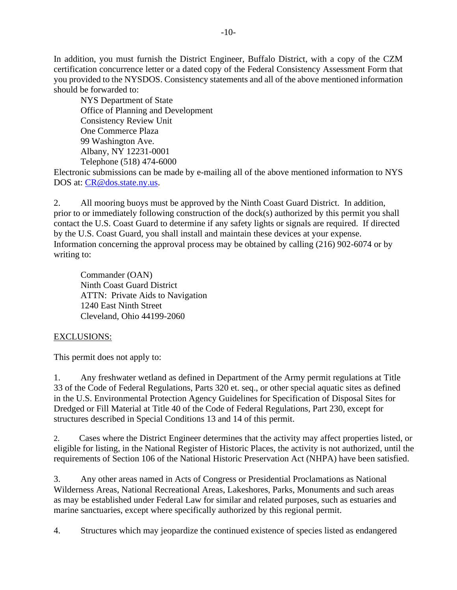In addition, you must furnish the District Engineer, Buffalo District, with a copy of the CZM certification concurrence letter or a dated copy of the Federal Consistency Assessment Form that you provided to the NYSDOS. Consistency statements and all of the above mentioned information should be forwarded to:

NYS Department of State Office of Planning and Development Consistency Review Unit One Commerce Plaza 99 Washington Ave. Albany, NY 12231-0001 Telephone (518) 474-6000

Electronic submissions can be made by e-mailing all of the above mentioned information to NYS DOS at: [CR@dos.state.ny.us.](mailto:CR@dos.state.ny.us)

2. All mooring buoys must be approved by the Ninth Coast Guard District. In addition, prior to or immediately following construction of the dock(s) authorized by this permit you shall contact the U.S. Coast Guard to determine if any safety lights or signals are required. If directed by the U.S. Coast Guard, you shall install and maintain these devices at your expense. Information concerning the approval process may be obtained by calling (216) 902-6074 or by writing to:

Commander (OAN) Ninth Coast Guard District ATTN: Private Aids to Navigation 1240 East Ninth Street Cleveland, Ohio 44199-2060

## EXCLUSIONS:

This permit does not apply to:

1. Any freshwater wetland as defined in Department of the Army permit regulations at Title 33 of the Code of Federal Regulations, Parts 320 et. seq., or other special aquatic sites as defined in the U.S. Environmental Protection Agency Guidelines for Specification of Disposal Sites for Dredged or Fill Material at Title 40 of the Code of Federal Regulations, Part 230, except for structures described in Special Conditions 13 and 14 of this permit.

2. Cases where the District Engineer determines that the activity may affect properties listed, or eligible for listing, in the National Register of Historic Places, the activity is not authorized, until the requirements of Section 106 of the National Historic Preservation Act (NHPA) have been satisfied.

3. Any other areas named in Acts of Congress or Presidential Proclamations as National Wilderness Areas, National Recreational Areas, Lakeshores, Parks, Monuments and such areas as may be established under Federal Law for similar and related purposes, such as estuaries and marine sanctuaries, except where specifically authorized by this regional permit.

4. Structures which may jeopardize the continued existence of species listed as endangered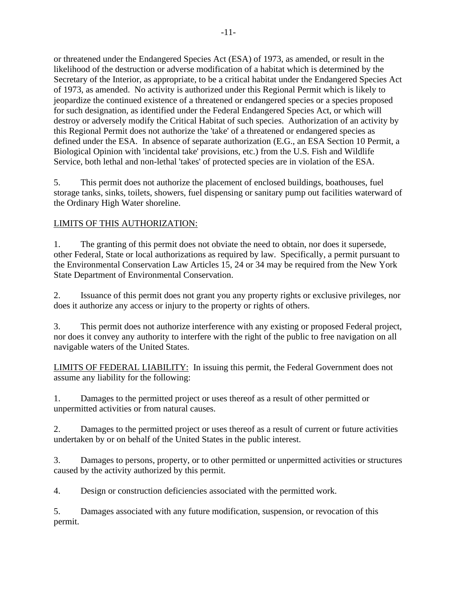or threatened under the Endangered Species Act (ESA) of 1973, as amended, or result in the likelihood of the destruction or adverse modification of a habitat which is determined by the Secretary of the Interior, as appropriate, to be a critical habitat under the Endangered Species Act of 1973, as amended. No activity is authorized under this Regional Permit which is likely to jeopardize the continued existence of a threatened or endangered species or a species proposed for such designation, as identified under the Federal Endangered Species Act, or which will destroy or adversely modify the Critical Habitat of such species. Authorization of an activity by this Regional Permit does not authorize the 'take' of a threatened or endangered species as defined under the ESA. In absence of separate authorization (E.G., an ESA Section 10 Permit, a Biological Opinion with 'incidental take' provisions, etc.) from the U.S. Fish and Wildlife Service, both lethal and non-lethal 'takes' of protected species are in violation of the ESA.

5. This permit does not authorize the placement of enclosed buildings, boathouses, fuel storage tanks, sinks, toilets, showers, fuel dispensing or sanitary pump out facilities waterward of the Ordinary High Water shoreline.

## LIMITS OF THIS AUTHORIZATION:

1. The granting of this permit does not obviate the need to obtain, nor does it supersede, other Federal, State or local authorizations as required by law. Specifically, a permit pursuant to the Environmental Conservation Law Articles 15, 24 or 34 may be required from the New York State Department of Environmental Conservation.

2. Issuance of this permit does not grant you any property rights or exclusive privileges, nor does it authorize any access or injury to the property or rights of others.

3. This permit does not authorize interference with any existing or proposed Federal project, nor does it convey any authority to interfere with the right of the public to free navigation on all navigable waters of the United States.

LIMITS OF FEDERAL LIABILITY: In issuing this permit, the Federal Government does not assume any liability for the following:

1. Damages to the permitted project or uses thereof as a result of other permitted or unpermitted activities or from natural causes.

2. Damages to the permitted project or uses thereof as a result of current or future activities undertaken by or on behalf of the United States in the public interest.

3. Damages to persons, property, or to other permitted or unpermitted activities or structures caused by the activity authorized by this permit.

4. Design or construction deficiencies associated with the permitted work.

5. Damages associated with any future modification, suspension, or revocation of this permit.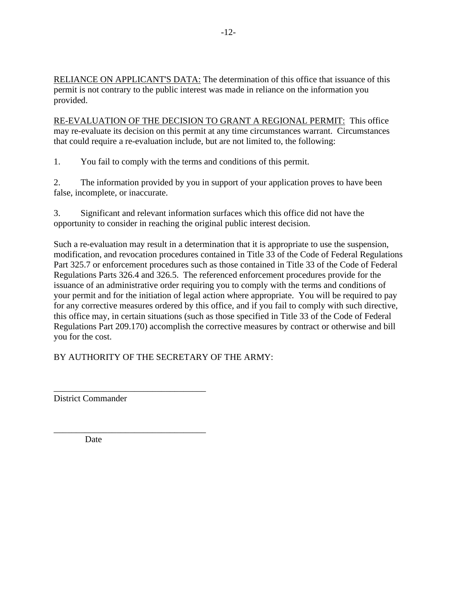RELIANCE ON APPLICANT'S DATA: The determination of this office that issuance of this permit is not contrary to the public interest was made in reliance on the information you provided.

RE-EVALUATION OF THE DECISION TO GRANT A REGIONAL PERMIT: This office may re-evaluate its decision on this permit at any time circumstances warrant. Circumstances that could require a re-evaluation include, but are not limited to, the following:

1. You fail to comply with the terms and conditions of this permit.

2. The information provided by you in support of your application proves to have been false, incomplete, or inaccurate.

3. Significant and relevant information surfaces which this office did not have the opportunity to consider in reaching the original public interest decision.

Such a re-evaluation may result in a determination that it is appropriate to use the suspension, modification, and revocation procedures contained in Title 33 of the Code of Federal Regulations Part 325.7 or enforcement procedures such as those contained in Title 33 of the Code of Federal Regulations Parts 326.4 and 326.5. The referenced enforcement procedures provide for the issuance of an administrative order requiring you to comply with the terms and conditions of your permit and for the initiation of legal action where appropriate. You will be required to pay for any corrective measures ordered by this office, and if you fail to comply with such directive, this office may, in certain situations (such as those specified in Title 33 of the Code of Federal Regulations Part 209.170) accomplish the corrective measures by contract or otherwise and bill you for the cost.

BY AUTHORITY OF THE SECRETARY OF THE ARMY:

\_\_\_\_\_\_\_\_\_\_\_\_\_\_\_\_\_\_\_\_\_\_\_\_\_\_\_\_\_\_\_\_\_\_ District Commander

Date

\_\_\_\_\_\_\_\_\_\_\_\_\_\_\_\_\_\_\_\_\_\_\_\_\_\_\_\_\_\_\_\_\_\_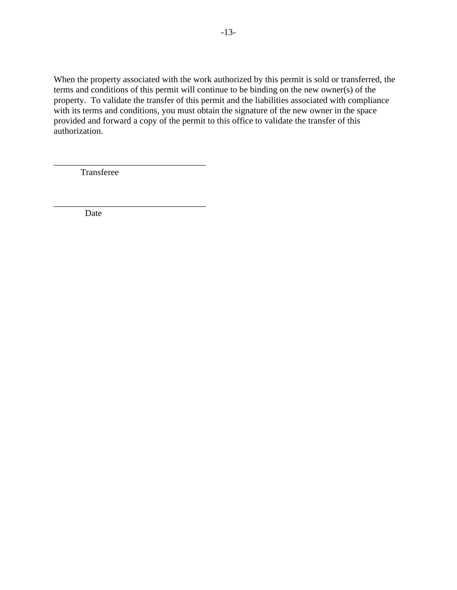When the property associated with the work authorized by this permit is sold or transferred, the terms and conditions of this permit will continue to be binding on the new owner(s) of the property. To validate the transfer of this permit and the liabilities associated with compliance with its terms and conditions, you must obtain the signature of the new owner in the space provided and forward a copy of the permit to this office to validate the transfer of this authorization.

Transferee

\_\_\_\_\_\_\_\_\_\_\_\_\_\_\_\_\_\_\_\_\_\_\_\_\_\_\_\_\_\_\_\_\_\_

\_\_\_\_\_\_\_\_\_\_\_\_\_\_\_\_\_\_\_\_\_\_\_\_\_\_\_\_\_\_\_\_\_\_

Date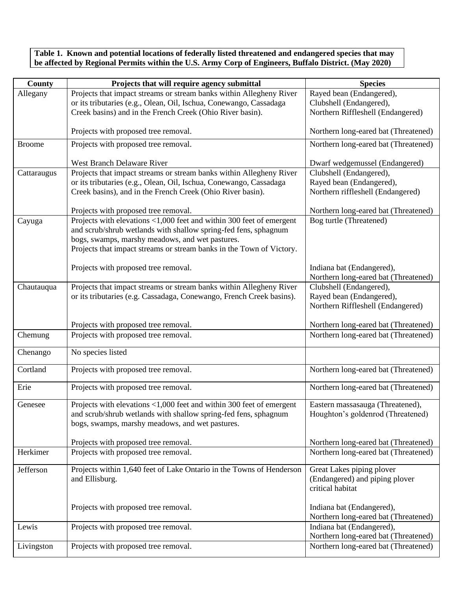**Table 1. Known and potential locations of federally listed threatened and endangered species that may be affected by Regional Permits within the U.S. Army Corp of Engineers, Buffalo District. (May 2020)**

| <b>County</b> | Projects that will require agency submittal                                                                                               | <b>Species</b>                                                               |
|---------------|-------------------------------------------------------------------------------------------------------------------------------------------|------------------------------------------------------------------------------|
| Allegany      | Projects that impact streams or stream banks within Allegheny River                                                                       | Rayed bean (Endangered),                                                     |
|               | or its tributaries (e.g., Olean, Oil, Ischua, Conewango, Cassadaga                                                                        | Clubshell (Endangered),                                                      |
|               | Creek basins) and in the French Creek (Ohio River basin).                                                                                 | Northern Riffleshell (Endangered)                                            |
|               | Projects with proposed tree removal.                                                                                                      | Northern long-eared bat (Threatened)                                         |
| <b>Broome</b> | Projects with proposed tree removal.                                                                                                      | Northern long-eared bat (Threatened)                                         |
|               |                                                                                                                                           |                                                                              |
|               | West Branch Delaware River                                                                                                                | Dwarf wedgemussel (Endangered)                                               |
| Cattaraugus   | Projects that impact streams or stream banks within Allegheny River<br>or its tributaries (e.g., Olean, Oil, Ischua, Conewango, Cassadaga | Clubshell (Endangered),<br>Rayed bean (Endangered),                          |
|               | Creek basins), and in the French Creek (Ohio River basin).                                                                                | Northern riffleshell (Endangered)                                            |
|               |                                                                                                                                           |                                                                              |
|               | Projects with proposed tree removal.                                                                                                      | Northern long-eared bat (Threatened)                                         |
| Cayuga        | Projects with elevations <1,000 feet and within 300 feet of emergent                                                                      | Bog turtle (Threatened)                                                      |
|               | and scrub/shrub wetlands with shallow spring-fed fens, sphagnum                                                                           |                                                                              |
|               | bogs, swamps, marshy meadows, and wet pastures.                                                                                           |                                                                              |
|               | Projects that impact streams or stream banks in the Town of Victory.                                                                      |                                                                              |
|               |                                                                                                                                           |                                                                              |
|               | Projects with proposed tree removal.                                                                                                      | Indiana bat (Endangered),<br>Northern long-eared bat (Threatened)            |
| Chautauqua    | Projects that impact streams or stream banks within Allegheny River                                                                       | Clubshell (Endangered),                                                      |
|               | or its tributaries (e.g. Cassadaga, Conewango, French Creek basins).                                                                      | Rayed bean (Endangered),                                                     |
|               |                                                                                                                                           | Northern Riffleshell (Endangered)                                            |
|               |                                                                                                                                           |                                                                              |
|               | Projects with proposed tree removal.                                                                                                      | Northern long-eared bat (Threatened)                                         |
| Chemung       | Projects with proposed tree removal.                                                                                                      | Northern long-eared bat (Threatened)                                         |
| Chenango      | No species listed                                                                                                                         |                                                                              |
|               |                                                                                                                                           |                                                                              |
| Cortland      | Projects with proposed tree removal.                                                                                                      | Northern long-eared bat (Threatened)                                         |
|               |                                                                                                                                           |                                                                              |
| Erie          | Projects with proposed tree removal.                                                                                                      | Northern long-eared bat (Threatened)                                         |
| Genesee       | Projects with elevations <1,000 feet and within 300 feet of emergent                                                                      | Eastern massasauga (Threatened),                                             |
|               | and scrub/shrub wetlands with shallow spring-fed fens, sphagnum                                                                           | Houghton's goldenrod (Threatened)                                            |
|               | bogs, swamps, marshy meadows, and wet pastures.                                                                                           |                                                                              |
|               |                                                                                                                                           |                                                                              |
| Herkimer      | Projects with proposed tree removal.<br>Projects with proposed tree removal.                                                              | Northern long-eared bat (Threatened)<br>Northern long-eared bat (Threatened) |
|               |                                                                                                                                           |                                                                              |
| Jefferson     | Projects within 1,640 feet of Lake Ontario in the Towns of Henderson                                                                      | Great Lakes piping plover                                                    |
|               | and Ellisburg.                                                                                                                            | (Endangered) and piping plover                                               |
|               |                                                                                                                                           | critical habitat                                                             |
|               |                                                                                                                                           |                                                                              |
|               | Projects with proposed tree removal.                                                                                                      | Indiana bat (Endangered),<br>Northern long-eared bat (Threatened)            |
| Lewis         | Projects with proposed tree removal.                                                                                                      | Indiana bat (Endangered),                                                    |
|               |                                                                                                                                           | Northern long-eared bat (Threatened)                                         |
| Livingston    | Projects with proposed tree removal.                                                                                                      | Northern long-eared bat (Threatened)                                         |
|               |                                                                                                                                           |                                                                              |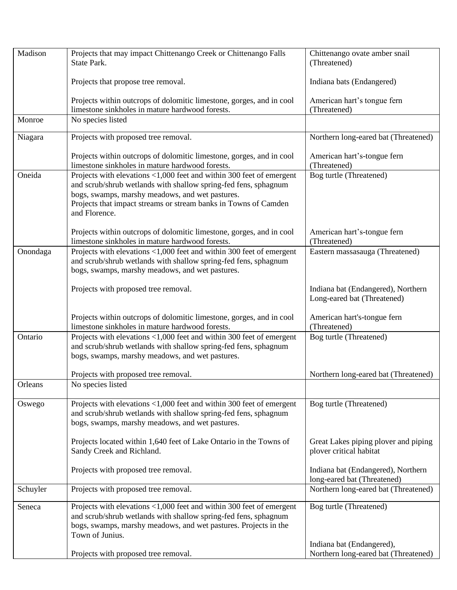| Madison  | Projects that may impact Chittenango Creek or Chittenango Falls<br>State Park.                                                                                                                                                                                                 | Chittenango ovate amber snail<br>(Threatened)                     |
|----------|--------------------------------------------------------------------------------------------------------------------------------------------------------------------------------------------------------------------------------------------------------------------------------|-------------------------------------------------------------------|
|          | Projects that propose tree removal.                                                                                                                                                                                                                                            | Indiana bats (Endangered)                                         |
|          | Projects within outcrops of dolomitic limestone, gorges, and in cool<br>limestone sinkholes in mature hardwood forests.                                                                                                                                                        | American hart's tongue fern<br>(Threatened)                       |
| Monroe   | No species listed                                                                                                                                                                                                                                                              |                                                                   |
| Niagara  | Projects with proposed tree removal.                                                                                                                                                                                                                                           | Northern long-eared bat (Threatened)                              |
|          | Projects within outcrops of dolomitic limestone, gorges, and in cool<br>limestone sinkholes in mature hardwood forests.                                                                                                                                                        | American hart's-tongue fern<br>(Threatened)                       |
| Oneida   | Projects with elevations <1,000 feet and within 300 feet of emergent<br>and scrub/shrub wetlands with shallow spring-fed fens, sphagnum<br>bogs, swamps, marshy meadows, and wet pastures.<br>Projects that impact streams or stream banks in Towns of Camden<br>and Florence. | Bog turtle (Threatened)                                           |
|          | Projects within outcrops of dolomitic limestone, gorges, and in cool<br>limestone sinkholes in mature hardwood forests.                                                                                                                                                        | American hart's-tongue fern<br>(Threatened)                       |
| Onondaga | Projects with elevations <1,000 feet and within 300 feet of emergent<br>and scrub/shrub wetlands with shallow spring-fed fens, sphagnum<br>bogs, swamps, marshy meadows, and wet pastures.                                                                                     | Eastern massasauga (Threatened)                                   |
|          | Projects with proposed tree removal.                                                                                                                                                                                                                                           | Indiana bat (Endangered), Northern<br>Long-eared bat (Threatened) |
|          | Projects within outcrops of dolomitic limestone, gorges, and in cool<br>limestone sinkholes in mature hardwood forests.                                                                                                                                                        | American hart's-tongue fern<br>(Threatened)                       |
| Ontario  | Projects with elevations <1,000 feet and within 300 feet of emergent<br>and scrub/shrub wetlands with shallow spring-fed fens, sphagnum<br>bogs, swamps, marshy meadows, and wet pastures.                                                                                     | Bog turtle (Threatened)                                           |
|          | Projects with proposed tree removal.                                                                                                                                                                                                                                           | Northern long-eared bat (Threatened)                              |
| Orleans  | No species listed                                                                                                                                                                                                                                                              |                                                                   |
| Oswego   | Projects with elevations <1,000 feet and within 300 feet of emergent<br>and scrub/shrub wetlands with shallow spring-fed fens, sphagnum<br>bogs, swamps, marshy meadows, and wet pastures.                                                                                     | Bog turtle (Threatened)                                           |
|          | Projects located within 1,640 feet of Lake Ontario in the Towns of<br>Sandy Creek and Richland.                                                                                                                                                                                | Great Lakes piping plover and piping<br>plover critical habitat   |
|          | Projects with proposed tree removal.                                                                                                                                                                                                                                           | Indiana bat (Endangered), Northern<br>long-eared bat (Threatened) |
| Schuyler | Projects with proposed tree removal.                                                                                                                                                                                                                                           | Northern long-eared bat (Threatened)                              |
| Seneca   | Projects with elevations <1,000 feet and within 300 feet of emergent<br>and scrub/shrub wetlands with shallow spring-fed fens, sphagnum<br>bogs, swamps, marshy meadows, and wet pastures. Projects in the<br>Town of Junius.                                                  | Bog turtle (Threatened)                                           |
|          | Projects with proposed tree removal.                                                                                                                                                                                                                                           | Indiana bat (Endangered),<br>Northern long-eared bat (Threatened) |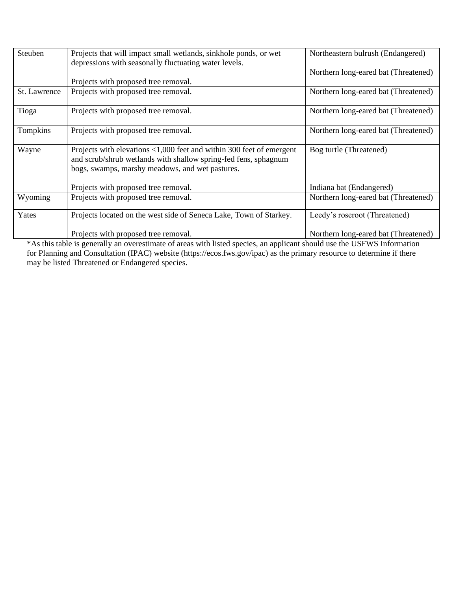| Steuben      | Projects that will impact small wetlands, sinkhole ponds, or wet<br>depressions with seasonally fluctuating water levels.                                                                  | Northeastern bulrush (Endangered)    |
|--------------|--------------------------------------------------------------------------------------------------------------------------------------------------------------------------------------------|--------------------------------------|
|              |                                                                                                                                                                                            | Northern long-eared bat (Threatened) |
|              | Projects with proposed tree removal.                                                                                                                                                       |                                      |
| St. Lawrence | Projects with proposed tree removal.                                                                                                                                                       | Northern long-eared bat (Threatened) |
| Tioga        | Projects with proposed tree removal.                                                                                                                                                       | Northern long-eared bat (Threatened) |
| Tompkins     | Projects with proposed tree removal.                                                                                                                                                       | Northern long-eared bat (Threatened) |
| Wayne        | Projects with elevations <1,000 feet and within 300 feet of emergent<br>and scrub/shrub wetlands with shallow spring-fed fens, sphagnum<br>bogs, swamps, marshy meadows, and wet pastures. | Bog turtle (Threatened)              |
|              | Projects with proposed tree removal.                                                                                                                                                       | Indiana bat (Endangered)             |
| Wyoming      | Projects with proposed tree removal.                                                                                                                                                       | Northern long-eared bat (Threatened) |
| Yates        | Projects located on the west side of Seneca Lake, Town of Starkey.                                                                                                                         | Leedy's roseroot (Threatened)        |
|              | Projects with proposed tree removal.                                                                                                                                                       | Northern long-eared bat (Threatened) |

\*As this table is generally an overestimate of areas with listed species, an applicant should use the USFWS Information for Planning and Consultation (IPAC) website (https://ecos.fws.gov/ipac) as the primary resource to determine if there may be listed Threatened or Endangered species.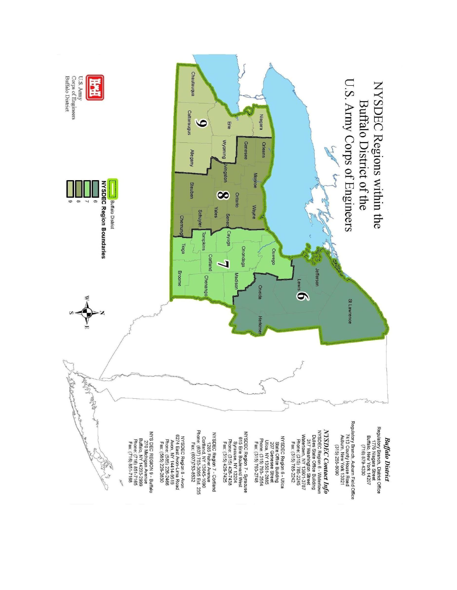